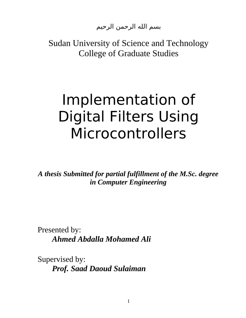بسم الله الرحمن الرحيم

Sudan University of Science and Technology College of Graduate Studies

# Implementation of Digital Filters Using Microcontrollers

*A thesis Submitted for partial fulfillment of the M.Sc. degree in Computer Engineering*

Presented by: *Ahmed Abdalla Mohamed Ali*

Supervised by: *Prof. Saad Daoud Sulaiman*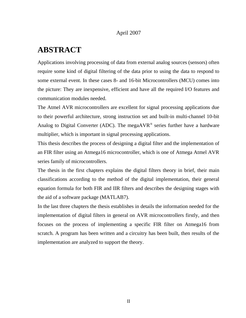#### April 2007

#### **ABSTRACT**

Applications involving processing of data from external analog sources (sensors) often require some kind of digital filtering of the data prior to using the data to respond to some external event. In these cases 8- and 16-bit Microcontrollers (MCU) comes into the picture: They are inexpensive, efficient and have all the required I/O features and communication modules needed.

The Atmel AVR microcontrollers are excellent for signal processing applications due to their powerful architecture, strong instruction set and built-in multi-channel 10-bit Analog to Digital Converter (ADC). The mega $AVR^{\otimes}$  series further have a hardware multiplier, which is important in signal processing applications.

This thesis describes the process of designing a digital filter and the implementation of an FIR filter using an Atmega16 microcontroller, which is one of Atmega Atmel AVR series family of microcontrollers.

The thesis in the first chapters explains the digital filters theory in brief, their main classifications according to the method of the digital implementation, their general equation formula for both FIR and IIR filters and describes the designing stages with the aid of a software package (MATLAB7).

In the last three chapters the thesis establishes in details the information needed for the implementation of digital filters in general on AVR microcontrollers firstly, and then focuses on the process of implementing a specific FIR filter on Atmega16 from scratch. A program has been written and a circuitry has been built, then results of the implementation are analyzed to support the theory.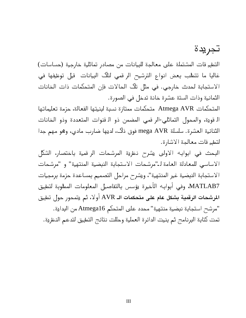# تجريدة

التطبيقات المشتملة على معالجة للبيانات من مصادر تماثلية خارجية (حساسات) غالبا ما تتطلب بعض انواع الترشيح الرقمي لتلك البيانات قيل توظيفها في . الستجابة لحدث خارجي في مثل تلك الحالت فإن المتحكمات ذات الخانات الثمانية وذات الستة عشرة خانة تدخل في الصورة .

المتحكمات AVR Atmega متحكمات ممتازة نسبة لبنيتها الفعالة، حزمة تعليماتها - القوية، والمحول التماثلي الرقمي المضمن ذو القنوات المتعددة وذو الخانات الثنائية العشرة. سلسلة mega AVR فوق ذلك، لديها ضارب مادي، وهو مهم جدا لتطبيقات معالجة الشارة .

 البحث في ابوابه الولى يشرح نظرية المرشحات الرقمية باختصار، الشكل الاساسي للمعادلة العامة لـ"مرشحات الاستجابة النبضية المنتهية" و "مرشحات الاستجابة النبضية غير المنتهية"، ويشرح مراحل التصميم بمساعدة حزمة برمجيات 7MATLAB ، وفي أبوابه الأخيرة يؤسس بالتفاصيل المعلومات المطلوبة لتطبيق الرشحات الرقمية بشكل عام على متحكمات الـ AVR أول، ثم يتمحور حول تطبيق "مرشح استجابة نبضية منتهية" محدد على المتحكم Atmega16 من البداية. تمت كتابة البرنامج ثم بنيت الدائرة العملية وحللت نتائج التطبيق لتدعم النظرية .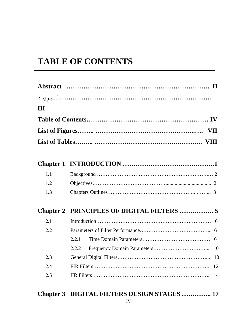### **TABLE OF CONTENTS**

| III |                                            |
|-----|--------------------------------------------|
|     |                                            |
|     |                                            |
|     |                                            |
|     |                                            |
|     |                                            |
| 1.1 |                                            |
| 1.2 |                                            |
| 1.3 |                                            |
|     | Chapter 2 PRINCIPLES OF DIGITAL FILTERS  5 |
| 2.1 |                                            |
| 2.2 |                                            |
|     | 2.2.1                                      |
|     | 2.2.2                                      |
| 2.3 |                                            |
| 2.4 |                                            |
| 2.5 |                                            |

## **Chapter 3 DIGITAL FILTERS DESIGN STAGES ………….. 17**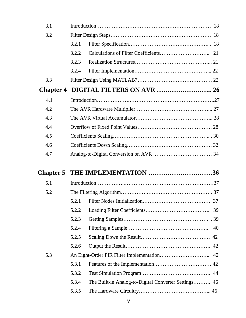| 3.1              |       |                                                      |    |
|------------------|-------|------------------------------------------------------|----|
| 3.2              |       |                                                      |    |
|                  | 3.2.1 |                                                      |    |
|                  | 3.2.2 |                                                      |    |
|                  | 3.2.3 |                                                      |    |
|                  | 3.2.4 |                                                      |    |
| 3.3              |       |                                                      |    |
| <b>Chapter 4</b> |       |                                                      |    |
| 4.1              |       |                                                      |    |
| 4.2              |       |                                                      |    |
| 4.3              |       |                                                      |    |
| 4.4              |       |                                                      |    |
| 4.5              |       |                                                      |    |
| 4.6              |       |                                                      |    |
| 4.7              |       |                                                      |    |
|                  |       |                                                      |    |
|                  |       |                                                      |    |
| <b>Chapter 5</b> |       | THE IMPLEMENTATION 36                                |    |
| 5.1              |       |                                                      |    |
| 5.2              |       |                                                      |    |
|                  |       |                                                      | 37 |
|                  | 5.2.2 |                                                      |    |
|                  | 5.2.3 |                                                      |    |
|                  | 5.2.4 |                                                      |    |
|                  | 5.2.5 |                                                      |    |
|                  | 5.2.6 |                                                      |    |
| 5.3              |       |                                                      |    |
|                  | 5.3.1 |                                                      |    |
|                  | 5.3.2 |                                                      |    |
|                  | 5.3.4 | The Built-in Analog-to-Digital Converter Settings 46 |    |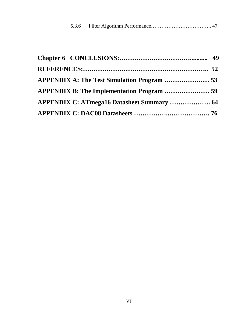| APPENDIX A: The Test Simulation Program  53       |  |
|---------------------------------------------------|--|
| APPENDIX B: The Implementation Program  59        |  |
| <b>APPENDIX C: ATmega16 Datasheet Summary  64</b> |  |
|                                                   |  |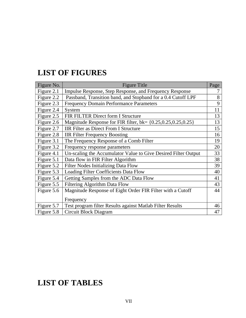#### **LIST OF FIGURES**

| Figure No. | <b>Figure Title</b>                                                  | Page |
|------------|----------------------------------------------------------------------|------|
| Figure 2.1 | Impulse Response, Step Response, and Frequency Response              | 7    |
| Figure 2.2 | Passband, Transition band, and Stopband for a 0.4 Cutoff LPF         | 8    |
| Figure 2.3 | <b>Frequency Domain Performance Parameters</b>                       | 9    |
| Figure 2.4 | System                                                               | 11   |
| Figure 2.5 | FIR FILTER Direct form I Structure                                   | 13   |
| Figure 2.6 | Magnitude Response for FIR filter, $bk = \{0.25, 0.25, 0.25, 0.25\}$ | 13   |
| Figure 2.7 | <b>IIR Filter as Direct From I Structure</b>                         | 15   |
| Figure 2.8 | <b>IIR Filter Frequency Boosting</b>                                 | 16   |
| Figure 3.1 | The Frequency Response of a Comb Filter                              | 19   |
| Figure 3.2 | Frequency response parameters                                        | 20   |
| Figure 4.1 | Un-scaling the Accumulator Value to Give Desired Filter Output       | 33   |
| Figure 5.1 | Data flow in FIR Filter Algorithm                                    | 38   |
| Figure 5.2 | <b>Filter Nodes Initializing Data Flow</b>                           | 39   |
| Figure 5.3 | Loading Filter Coefficients Data Flow                                | 40   |
| Figure 5.4 | Getting Samples from the ADC Data Flow                               | 41   |
| Figure 5.5 | <b>Filtering Algorithm Data Flow</b>                                 | 43   |
| Figure 5.6 | Magnitude Response of Eight Order FIR Filter with a Cutoff           | 44   |
|            | Frequency                                                            |      |
| Figure 5.7 | Test program filter Results against Matlab Filter Results            | 46   |
| Figure 5.8 | Circuit Block Diagram                                                | 47   |

#### **LIST OF TABLES**